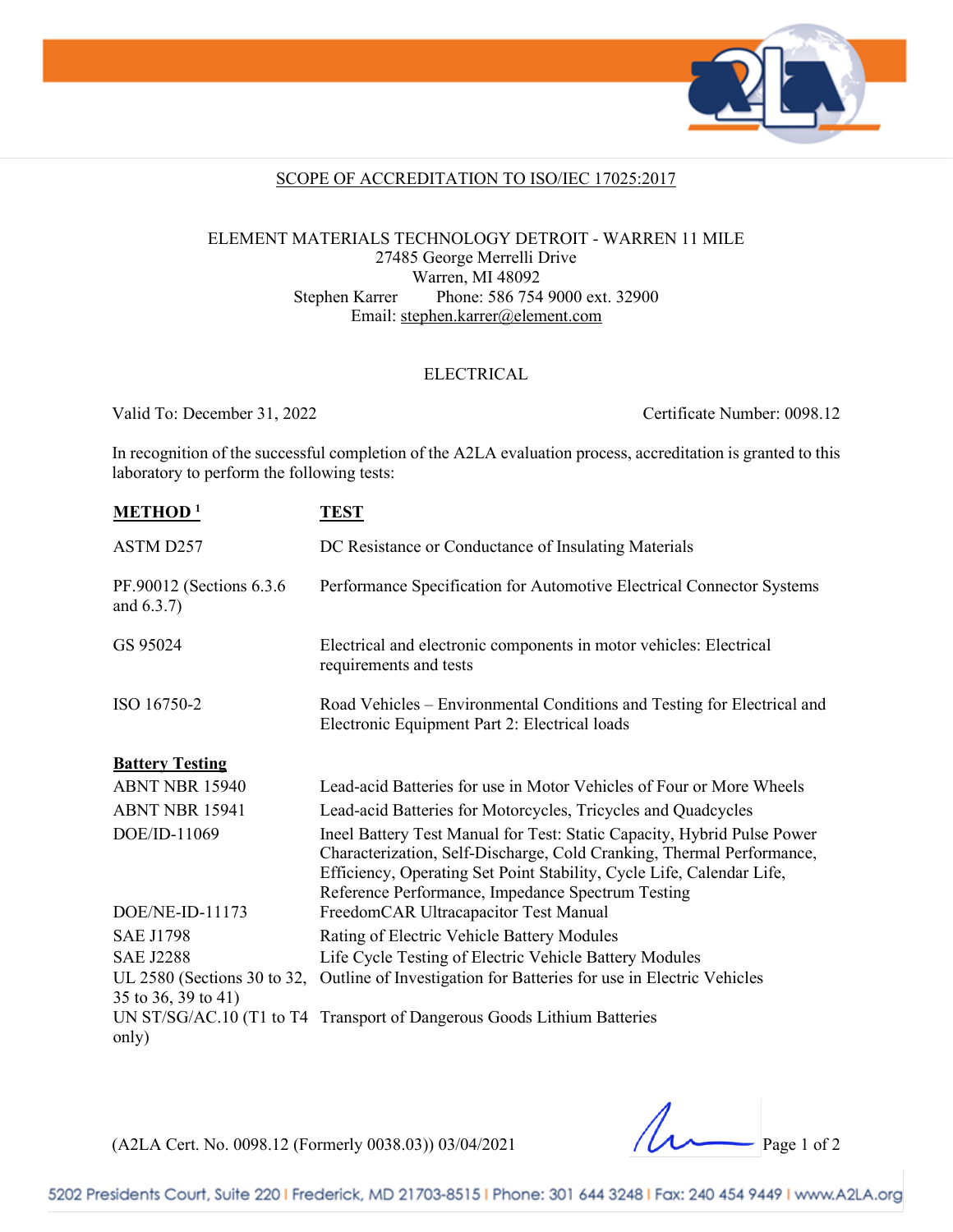

### SCOPE OF ACCREDITATION TO ISO/IEC 17025:2017

### ELEMENT MATERIALS TECHNOLOGY DETROIT - WARREN 11 MILE 27485 George Merrelli Drive Warren, MI 48092 Stephen Karrer Phone: 586 754 9000 ext. 32900 Email: [stephen.karrer@element.com](mailto:stephen.karrer@element.com)

#### ELECTRICAL

Valid To: December 31, 2022 Certificate Number: 0098.12

In recognition of the successful completion of the A2LA evaluation process, accreditation is granted to this laboratory to perform the following tests:

| <b>METHOD</b> <sup>1</sup>                         | <b>TEST</b>                                                                                                                                                                                                                                                                    |  |  |
|----------------------------------------------------|--------------------------------------------------------------------------------------------------------------------------------------------------------------------------------------------------------------------------------------------------------------------------------|--|--|
| ASTM D257                                          | DC Resistance or Conductance of Insulating Materials                                                                                                                                                                                                                           |  |  |
| PF.90012 (Sections 6.3.6)<br>and $(6.3.7)$         | Performance Specification for Automotive Electrical Connector Systems                                                                                                                                                                                                          |  |  |
| GS 95024                                           | Electrical and electronic components in motor vehicles: Electrical<br>requirements and tests                                                                                                                                                                                   |  |  |
| ISO 16750-2                                        | Road Vehicles – Environmental Conditions and Testing for Electrical and<br>Electronic Equipment Part 2: Electrical loads                                                                                                                                                       |  |  |
| <b>Battery Testing</b>                             |                                                                                                                                                                                                                                                                                |  |  |
| ABNT NBR 15940                                     | Lead-acid Batteries for use in Motor Vehicles of Four or More Wheels                                                                                                                                                                                                           |  |  |
| <b>ABNT NBR 15941</b>                              | Lead-acid Batteries for Motorcycles, Tricycles and Quadcycles                                                                                                                                                                                                                  |  |  |
| DOE/ID-11069                                       | Ineel Battery Test Manual for Test: Static Capacity, Hybrid Pulse Power<br>Characterization, Self-Discharge, Cold Cranking, Thermal Performance,<br>Efficiency, Operating Set Point Stability, Cycle Life, Calendar Life,<br>Reference Performance, Impedance Spectrum Testing |  |  |
| $DOE/NE-ID-11173$                                  | FreedomCAR Ultracapacitor Test Manual                                                                                                                                                                                                                                          |  |  |
| <b>SAE J1798</b>                                   | Rating of Electric Vehicle Battery Modules                                                                                                                                                                                                                                     |  |  |
| <b>SAE J2288</b>                                   | Life Cycle Testing of Electric Vehicle Battery Modules                                                                                                                                                                                                                         |  |  |
| UL 2580 (Sections 30 to 32,<br>35 to 36, 39 to 41) | Outline of Investigation for Batteries for use in Electric Vehicles                                                                                                                                                                                                            |  |  |
| only)                                              | UN ST/SG/AC.10 (T1 to T4 Transport of Dangerous Goods Lithium Batteries                                                                                                                                                                                                        |  |  |

(A2LA Cert. No. 0098.12 (Formerly 0038.03)) 03/04/2021 Page 1 of 2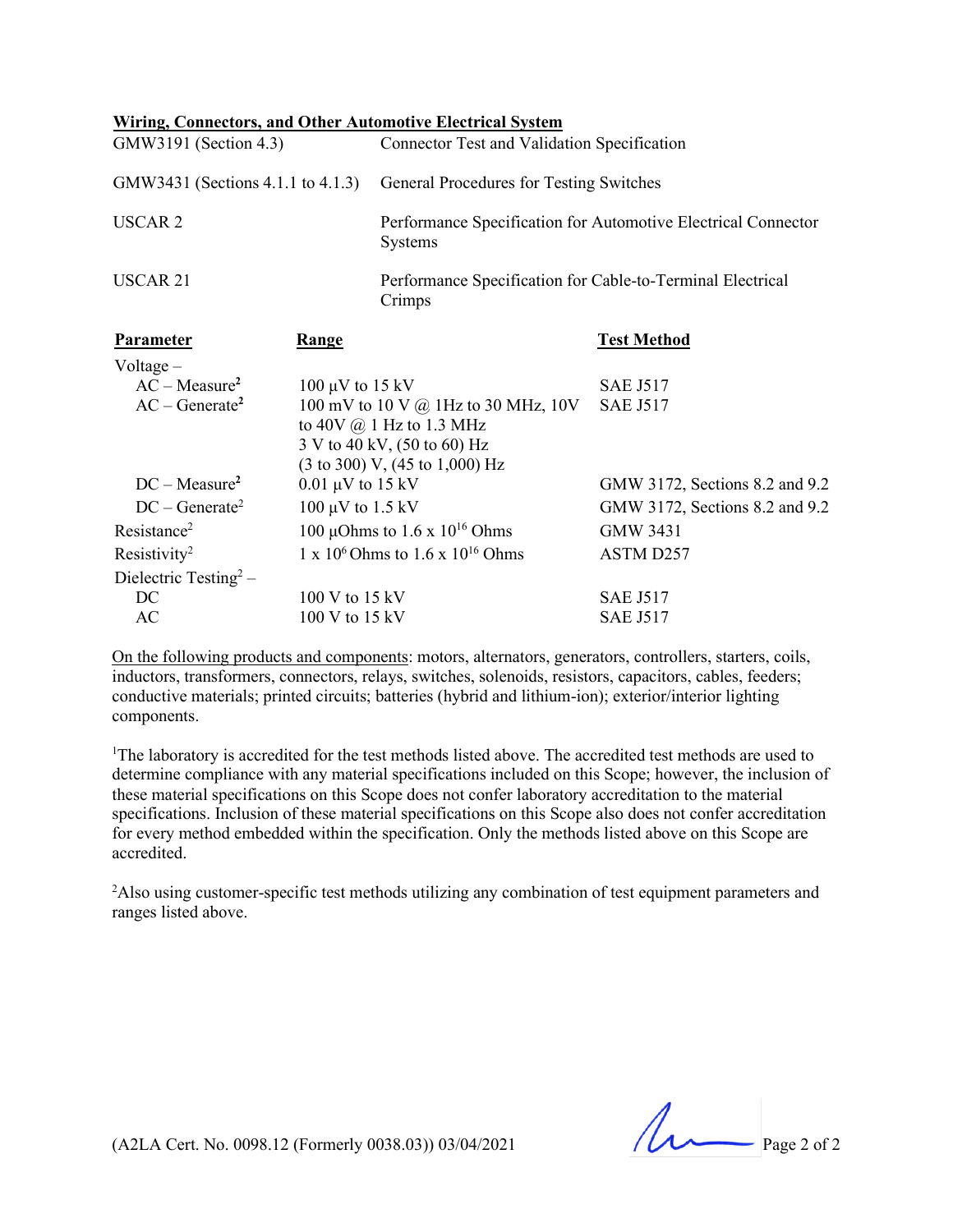|                                   |                                | <b>Wiring, Connectors, and Other Automotive Electrical System</b>    |                                                               |  |
|-----------------------------------|--------------------------------|----------------------------------------------------------------------|---------------------------------------------------------------|--|
| GMW3191 (Section 4.3)             |                                | Connector Test and Validation Specification                          |                                                               |  |
| GMW3431 (Sections 4.1.1 to 4.1.3) |                                | General Procedures for Testing Switches                              |                                                               |  |
| <b>USCAR2</b>                     |                                | Systems                                                              | Performance Specification for Automotive Electrical Connector |  |
| <b>USCAR 21</b>                   |                                | Performance Specification for Cable-to-Terminal Electrical<br>Crimps |                                                               |  |
| Parameter                         | Range                          |                                                                      | <b>Test Method</b>                                            |  |
| Voltage $-$                       |                                |                                                                      |                                                               |  |
| $AC - Measure2$                   | $100 \mu V$ to $15 \text{ kV}$ |                                                                      | <b>SAE J517</b>                                               |  |
| $AC - Generate2$                  |                                | 100 mV to 10 V $\omega$ 1Hz to 30 MHz, 10V                           | <b>SAE J517</b>                                               |  |
|                                   |                                | to $40V$ $\omega$ 1 Hz to 1.3 MHz                                    |                                                               |  |
|                                   |                                | 3 V to 40 kV, (50 to 60) Hz                                          |                                                               |  |
|                                   |                                | $(3 \text{ to } 300)$ V, $(45 \text{ to } 1,000)$ Hz                 |                                                               |  |
| $DC - Measure2$                   | $0.01 \mu V$ to 15 kV          |                                                                      | GMW 3172, Sections 8.2 and 9.2                                |  |
| $DC - Generate^2$                 | 100 $\mu$ V to 1.5 kV          |                                                                      | GMW 3172, Sections 8.2 and 9.2                                |  |
| Resistance <sup>2</sup>           |                                | 100 µOhms to 1.6 x $10^{16}$ Ohms                                    | <b>GMW 3431</b>                                               |  |
| Resistivity <sup>2</sup>          |                                | 1 x $10^6$ Ohms to 1.6 x $10^{16}$ Ohms                              | ASTM D257                                                     |  |
| Dielectric Testing <sup>2</sup> – |                                |                                                                      |                                                               |  |
| DC                                | 100 V to 15 kV                 |                                                                      | <b>SAE J517</b>                                               |  |
| AC                                | 100 V to 15 kV                 |                                                                      | <b>SAE J517</b>                                               |  |

On the following products and components: motors, alternators, generators, controllers, starters, coils, inductors, transformers, connectors, relays, switches, solenoids, resistors, capacitors, cables, feeders; conductive materials; printed circuits; batteries (hybrid and lithium-ion); exterior/interior lighting components.

<sup>1</sup>The laboratory is accredited for the test methods listed above. The accredited test methods are used to determine compliance with any material specifications included on this Scope; however, the inclusion of these material specifications on this Scope does not confer laboratory accreditation to the material specifications. Inclusion of these material specifications on this Scope also does not confer accreditation for every method embedded within the specification. Only the methods listed above on this Scope are accredited.

<sup>2</sup>Also using customer-specific test methods utilizing any combination of test equipment parameters and ranges listed above.

(A2LA Cert. No. 0098.12 (Formerly 0038.03)) 03/04/2021 Page 2 of 2